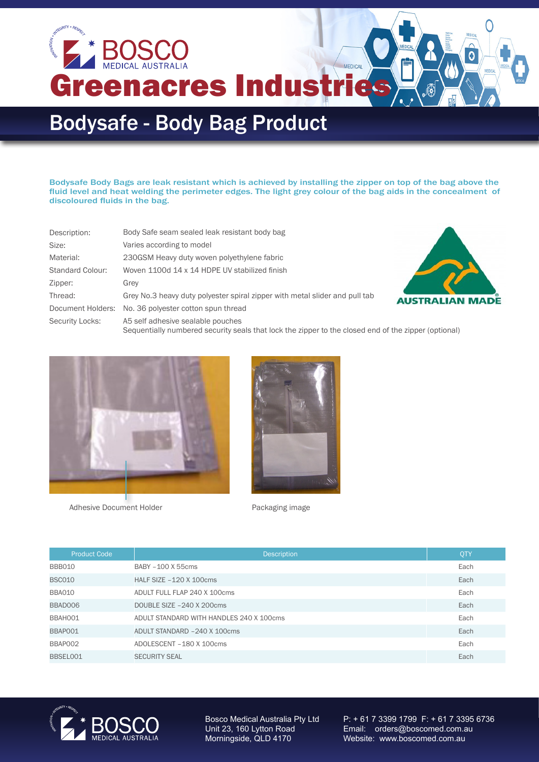

**Greenacres Industr** 

## Bodysafe - Body Bag Product

Bodysafe Body Bags are leak resistant which is achieved by installing the zipper on top of the bag above the fluid level and heat welding the perimeter edges. The light grey colour of the bag aids in the concealment of discoloured fluids in the bag.

MEDICAL

| Description:      | Body Safe seam sealed leak resistant body bag                               |   |
|-------------------|-----------------------------------------------------------------------------|---|
| Size:             | Varies according to model                                                   |   |
| Material:         | 230GSM Heavy duty woven polyethylene fabric                                 |   |
| Standard Colour:  | Woven 1100d 14 x 14 HDPE UV stabilized finish                               |   |
| Zipper:           | Grey                                                                        |   |
| Thread:           | Grey No.3 heavy duty polyester spiral zipper with metal slider and pull tab | A |
| Document Holders: | No. 36 polyester cotton spun thread                                         |   |
| Security Locks:   | A5 self adhesive sealable pouches                                           |   |



Sequentially numbered security seals that lock the zipper to the closed end of the zipper (optional)



Adhesive Document Holder **Packaging image** 



| <b>Product Code</b> | <b>Description</b>                       | QTY  |
|---------------------|------------------------------------------|------|
| BBB010              | BABY -100 X 55cms                        | Each |
| <b>BSC010</b>       | HALF SIZE $-120$ X 100cms                | Each |
| BBA010              | ADULT FULL FLAP 240 X 100cms             | Each |
| BBAD006             | DOUBLE SIZE -240 X 200cms                | Each |
| BBAH001             | ADULT STANDARD WITH HANDLES 240 X 100cms | Each |
| BBAP001             | ADULT STANDARD -240 X 100cms             | Each |
| BBAP002             | ADOLESCENT - 180 X 100cms                | Each |
| BBSEL001            | <b>SECURITY SEAL</b>                     | Each |



Bosco Medical Australia Pty Ltd Unit 23, 160 Lytton Road Morningside, QLD 4170

P: + 61 7 3399 1799 F: + 61 7 3395 6736 Email: orders@boscomed.com.au Website: www.boscomed.com.au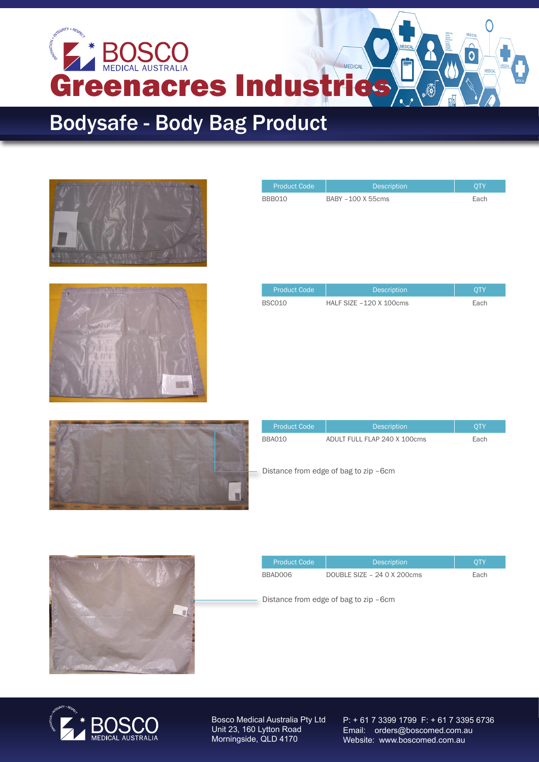

## Bodysafe - Body Bag Product





| <b>Product Code</b> | <b>Description</b>      | <b>QTY</b> |
|---------------------|-------------------------|------------|
| <b>BSC010</b>       | HALF SIZE -120 X 100cms | Each       |

Product Code | Description | QTY BBB010 BABY –100 X 55cms Each



| <b>Product Code</b> | <b>Description</b>                    | <b>OTY</b> |
|---------------------|---------------------------------------|------------|
| <b>BBA010</b>       | ADULT FULL FLAP 240 X 100cms          | Each       |
|                     | Distance from edge of bag to zip -6cm |            |



| <b>Product Code</b> | <b>Description</b>          | OTY  |
|---------------------|-----------------------------|------|
| BBAD006             | DOUBLE SIZE - 24 0 X 200cms | Each |
|                     |                             |      |

Distance from edge of bag to zip –6cm



Bosco Medical Australia Pty Ltd Unit 23, 160 Lytton Road Morningside, QLD 4170

P: + 61 7 3399 1799 F: + 61 7 3395 6736 Email: orders@boscomed.com.au Website: www.boscomed.com.au